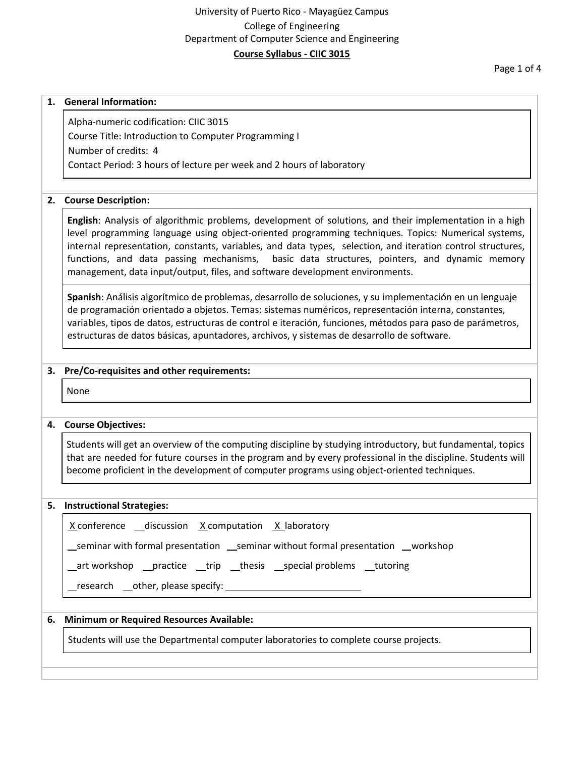## University of Puerto Rico - Mayagüez Campus College of Engineering Department of Computer Science and Engineering **Course Syllabus - CIIC 3015**

Page 1 of 4

### **1. General Information:**

Alpha-numeric codification: CIIC 3015 Course Title: Introduction to Computer Programming I Number of credits: 4 Contact Period: 3 hours of lecture per week and 2 hours of laboratory

### **2. Course Description:**

**English**: Analysis of algorithmic problems, development of solutions, and their implementation in a high level programming language using object-oriented programming techniques. Topics: Numerical systems, internal representation, constants, variables, and data types, selection, and iteration control structures, functions, and data passing mechanisms, basic data structures, pointers, and dynamic memory management, data input/output, files, and software development environments.

**Spanish**: Análisis algorítmico de problemas, desarrollo de soluciones, y su implementación en un lenguaje de programación orientado a objetos. Temas: sistemas numéricos, representación interna, constantes, variables, tipos de datos, estructuras de control e iteración, funciones, métodos para paso de parámetros, estructuras de datos básicas, apuntadores, archivos, y sistemas de desarrollo de software.

### **3. Pre/Co-requisites and other requirements:**

None

### **4. Course Objectives:**

Students will get an overview of the computing discipline by studying introductory, but fundamental, topics that are needed for future courses in the program and by every professional in the discipline. Students will become proficient in the development of computer programs using object-oriented techniques.

#### **5. Instructional Strategies:**

| $X$ conference __discussion $X$ computation $X$ laboratory                          |
|-------------------------------------------------------------------------------------|
| __seminar with formal presentation __seminar without formal presentation __workshop |
| _art workshop __practice __trip __thesis __special problems __tutoring              |
|                                                                                     |

### **6. Minimum or Required Resources Available:**

Students will use the Departmental computer laboratories to complete course projects.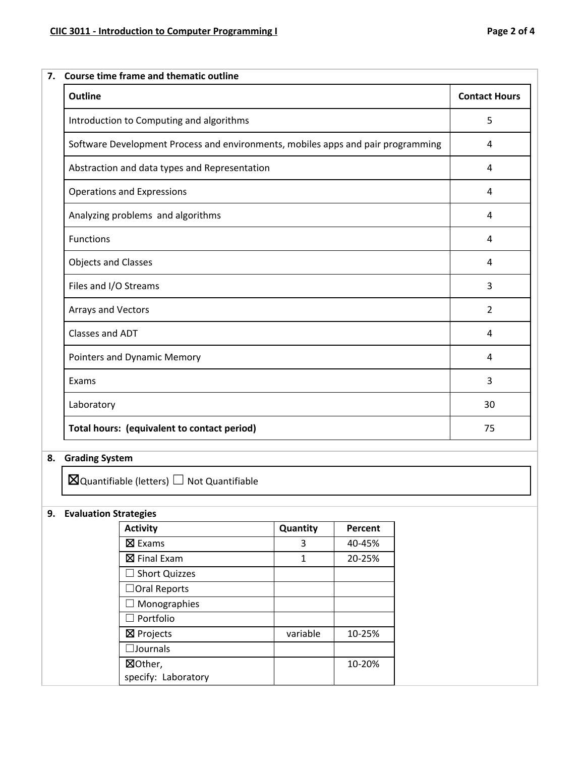| <b>Outline</b>                                                                   | <b>Contact Hours</b> |  |
|----------------------------------------------------------------------------------|----------------------|--|
| Introduction to Computing and algorithms                                         | 5                    |  |
| Software Development Process and environments, mobiles apps and pair programming | 4                    |  |
| Abstraction and data types and Representation                                    | 4                    |  |
| <b>Operations and Expressions</b>                                                | 4                    |  |
| Analyzing problems and algorithms                                                | 4                    |  |
| Functions                                                                        | 4                    |  |
| <b>Objects and Classes</b>                                                       | 4                    |  |
| Files and I/O Streams                                                            | 3                    |  |
| Arrays and Vectors                                                               | $\overline{2}$       |  |
| Classes and ADT                                                                  | 4                    |  |
| Pointers and Dynamic Memory                                                      | 4                    |  |
| Exams                                                                            | 3                    |  |
| Laboratory                                                                       | 30                   |  |
| Total hours: (equivalent to contact period)                                      | 75                   |  |

# **8. Grading System**

 $\boxtimes$ Quantifiable (letters)  $\Box$  Not Quantifiable

## **9. Evaluation Strategies**

| <b>Activity</b>                | Quantity | Percent |
|--------------------------------|----------|---------|
| ⊠ Exams                        | 3        | 40-45%  |
| $\boxtimes$ Final Exam         | 1        | 20-25%  |
| $\Box$ Short Quizzes           |          |         |
| $\Box$ Oral Reports            |          |         |
| Monographies                   |          |         |
| $\Box$ Portfolio               |          |         |
| $\boxtimes$ Projects           | variable | 10-25%  |
| $\square$ Journals             |          |         |
| ⊠Other,<br>specify: Laboratory |          | 10-20%  |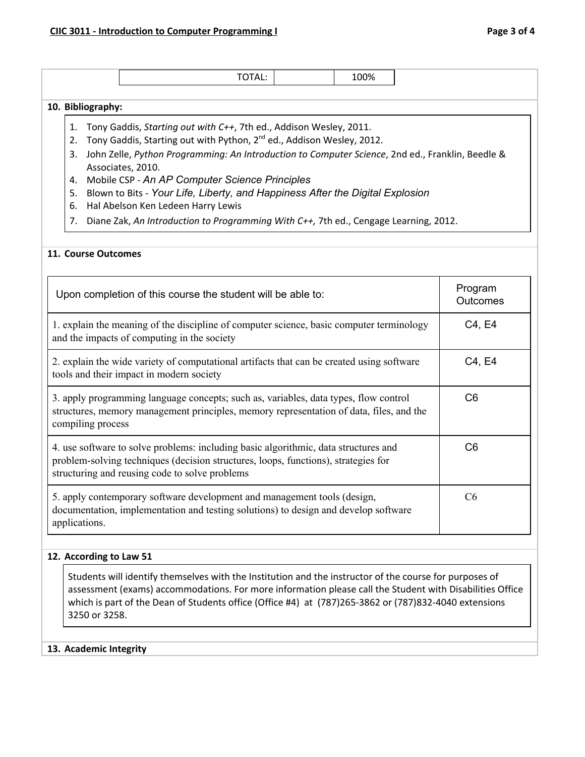|  | ___ |
|--|-----|
|  |     |

#### **10. Bibliography:**

- 1. Tony Gaddis, *Starting out with C++*, 7th ed., Addison Wesley, 2011.
- 2. Tony Gaddis, Starting out with Python, 2<sup>nd</sup> ed., Addison Wesley, 2012.
- 3. John Zelle, *Python Programming: An Introduction to Computer Science*, 2nd ed., Franklin, Beedle & Associates, 2010.
- 4. Mobile CSP *An AP Computer Science Principles*
- 5. Blown to Bits *Your Life, Liberty, and Happiness After the Digital Explosion*
- 6. Hal Abelson Ken Ledeen Harry Lewis
- 7. Diane Zak, *An Introduction to Programming With C++,* 7th ed., Cengage Learning, 2012.

### **11. Course Outcomes**

| Upon completion of this course the student will be able to:                                                                                                                                                                 | Program<br><b>Outcomes</b> |
|-----------------------------------------------------------------------------------------------------------------------------------------------------------------------------------------------------------------------------|----------------------------|
| 1. explain the meaning of the discipline of computer science, basic computer terminology<br>and the impacts of computing in the society                                                                                     | C4, E4                     |
| 2. explain the wide variety of computational artifacts that can be created using software<br>tools and their impact in modern society                                                                                       | C4, E4                     |
| 3. apply programming language concepts; such as, variables, data types, flow control<br>structures, memory management principles, memory representation of data, files, and the<br>compiling process                        | C <sub>6</sub>             |
| 4. use software to solve problems: including basic algorithmic, data structures and<br>problem-solving techniques (decision structures, loops, functions), strategies for<br>structuring and reusing code to solve problems | C <sub>6</sub>             |
| 5. apply contemporary software development and management tools (design,<br>documentation, implementation and testing solutions) to design and develop software<br>applications.                                            | C <sub>6</sub>             |

### **12. According to Law 51**

Students will identify themselves with the Institution and the instructor of the course for purposes of assessment (exams) accommodations. For more information please call the Student with Disabilities Office which is part of the Dean of Students office (Office #4) at (787)265-3862 or (787)832-4040 extensions 3250 or 3258.

### **13. Academic Integrity**